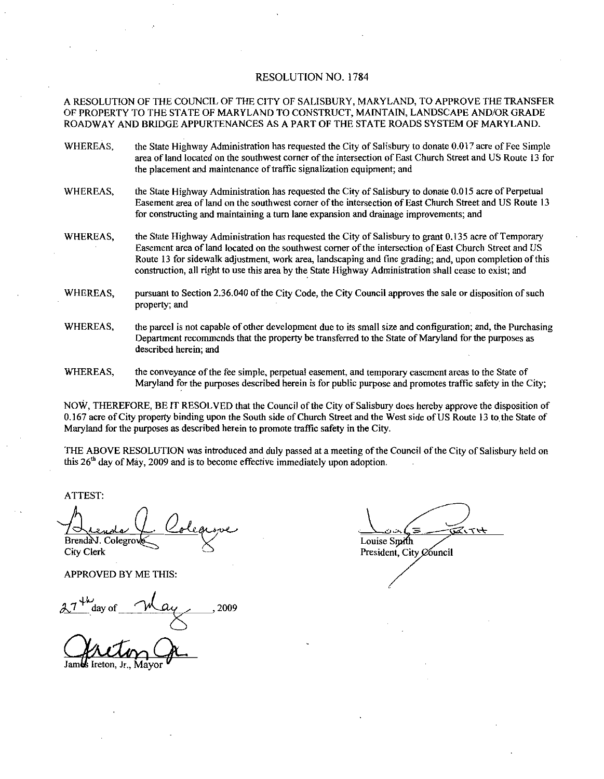#### RESOLUTION NO. 1784

A RESOLUTION OF THE COUNCIL OF THE CITY OF SALISBURY MARYLAND TO APPROVE THE TRANSFER OF PROPERTY TO THE STATE OF MARYLAND TO CONSTRUCT, MAINTAIN, LANDSCAPE AND/OR GRADE OF PROPERTY TO THE STATE OF MARYLAND TO CONSTRUCT, MAINTAIN, LANDSCAPE AND/OR GRADE<br>ROADWAY AND BRIDGE APPURTENANCES AS A PART OF THE STATE ROADS SYSTEM OF MARYLAND.<br>WHEREAS, the State Highway Administration has requested

- area of land located on the southwest corner of the intersection of East Church Street and US Route 13 for the placement and maintenance of traffic signalization equipment; and
- WHEREAS, the State Highway Administration has requested the City of Salisbury to donate 0.015 acre of Perpetual Easement area of land on the southwest corner of the intersection of East Church Street and US Route 13 for constructing and maintaining a turn lane expansion and drainage improvements; and
- WHEREAS, the State Highway Administration has requested the City of Salisbury to grant 0.135 acre of Temporary Easement area of land located on the southwest corner of the intersection of East Church Street and US Route 13 for sidewalk adjustment, work area, landscaping and fine grading; and, upon completion of this construction, all right to use this area by the State Highway Administration shall cease to exist; and WHEREAS, the State Highway Administration has requested the City of Sailsbury to grant 0.135 acre of 1 emporary<br>Easement area of land located on the southwest corner of the intersection of East Church Street and US<br>Route 1
- property; and
- WHEREAS, the parcel is not capable of other development due to its small size and configuration: and, the Purchasing Department recommends that the property be transferred to the State of Maryland for the purposes as described herein; and
- WHEREAS, the conveyance of the fee simple, perpetual easement, and temporary easement areas to the State of Maryland for the purposes described herein is for public purpose and promotes traffic safety in the City

NOW, THEREFORE, BE IT RESOLVED that the Council of the City of Salisbury does hereby approve the disposition of Maryland for the purposes described herein is for public purpose and promotes traffic safety in the City;<br>NOW, THEREFORE, BE IT RESOLVED that the Council of the City of Salisbury does hereby approve the disposition of<br>0.16 Maryland for the purposes as described herein to promote traffic safety in the City

THE ABOVE RESOLUTION was introduced and duly passed at a meeting of the Council of the City of Salisbury held on this  $26<sup>th</sup>$  day of May, 2009 and is to become effective immediately upon adoption.

ATTEST

the College of May, 2009 and is to become of<br>the day of May, 2009 and is to become of<br>ST:<br>denoted Colegrove Brenda V. Colegrov

City Clerk

APPROVED BY ME THIS

 $27<sup>4</sup>$  day of May 2009

Jam**es** Ireton, Jr., Mayor

ヘイけ Louise Smith

President, City Council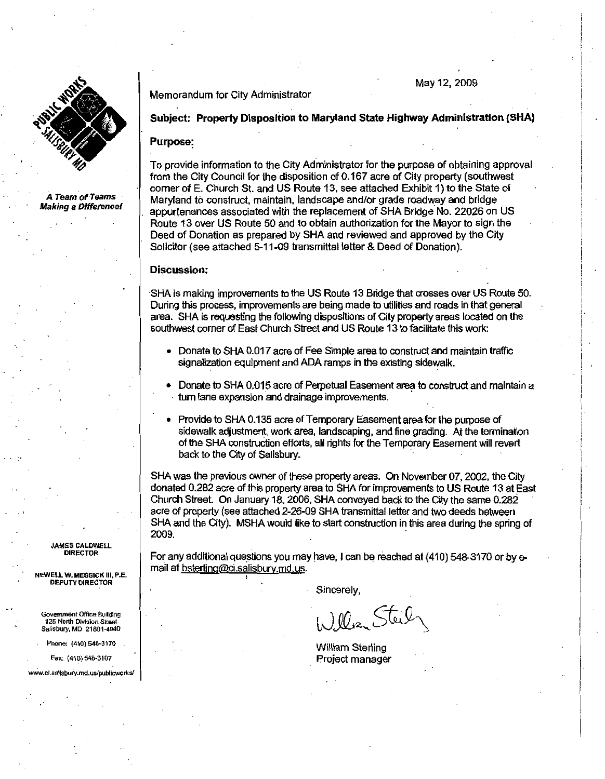

A Team of Teams Making a Difference! Memorandum for City Administrator

# May 12 2DD9

## Subject: Property Disposition to Maryland State Highway Administration (SHA)

## Purpose

To provide information to the City Administrator for the purpose of obtaining approval **Purpose:**<br>To provide information to the City Administrator for the purpose of obtaining appro<br>from the City Council for the disposition of 0.167 acre of City property (southwest<br>corner of E. Church St. and US Route 13, se from the City Council for the disposition of 0.167 acre of City property (southwest<br>corner of E. Church St. and US Route 13, see attached Exhibit 1) to the State of<br>Maryland to construct, maintain, landscape and/or grade r Maryland to construct, maintain, landscape and/or grade roadway and bridge appurtenances associated with the replacement of SHA Bridge No. 22026 on US Route 13 over US Route 50 and to obtain authorization for the Mayor to Route <sup>13</sup> over US Route <sup>50</sup> and to obtain authorization for the Mayor to sign the

# Discussion:

SHA is making improvements to the US Route 13 Bridge that crosses over US Route 50. During this process improvements are being made to utilities and roads in that general area. SHA is requesting the following dispositions of City property areas located on the southwest corner of East Church Street and US Route 13 to facilitate this work:

- Donate to SHA 0.017 acre of Fee Simple area to construct and maintain traffic signalization equipment and ADA ramps in the existing sidewalk.
- Donate to SHA 0.015 acre of Perpetual Easement area to construct and maintain a turn lane expansion and drainage improvements.
- Provide to SHA 0.135 acre of Temporary Easement area for the purpose of sidewalk adjustment, work area, landscaping, and fine grading. At the termination of the SHA construction efforts, all rights for the Temporary Easement will revert back to the City of Salisbury.

SHA was the previous owner of these property areas. On November 07, 2002, the City donated 0.282 acre of this property area to SHA for improvements to US Route 13 at East Church Street. On January 18, 2006, SHA conveyed ba SHA was the previous owner of these property areas. On November 07, 2002, the Cit donated 0.282 acre of this property area to SHA for improvements to US Route 13 at E Church Street. On January 18, 2006, SHA conveyed back t acre of property (see attached 2-26-09 SHA transmittal letter and two deeds between<br>SHA and the City). MSHA would like to start construction in this area during the spring of 2009 acre of property (see attached 2-26-<br>SHA and the City). MSHA would like<br>2009.<br>For any additional questions you ma<br>mail at <u>bsterling@ci.salisbury.md.us</u>

For any additional questions you may have, I can be reached at (410) 548-3170 or by e-

Sincerely,

William Sterling Project manager

JAMES CALDWELL DIRECTOR

NEWELL W. MESSICK III, P.E. DEPUTY DIRECTOR

Government Office Building 125 North Division Street Salisbury, MD 21801-4940 JAMES CALDWELL<br>
DIRECTOR<br>
NEWELL W. MESSICK III, P.E.<br>
DEPUTY DIRECTOR<br>
Covernment Office Building<br>
125 North Division Street<br>
Salisbury, MD 21801-4940<br>
Phone: (410) 548-3170<br>
Fax: (410) 548-3170<br>
www.ci.sallsbury.md.us/pu

Phone: (410) 548-3170<br>Fax: (410) 548-3107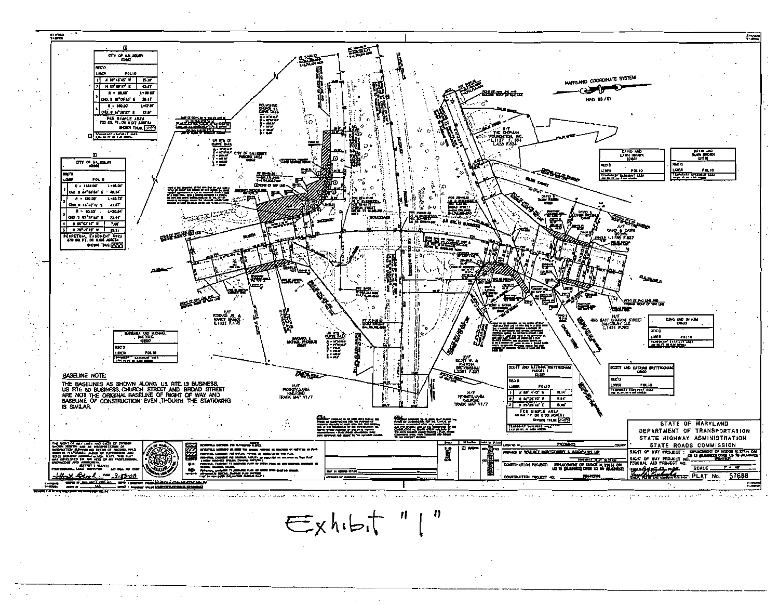

 $\epsilon$  xhibit " $\Gamma$ "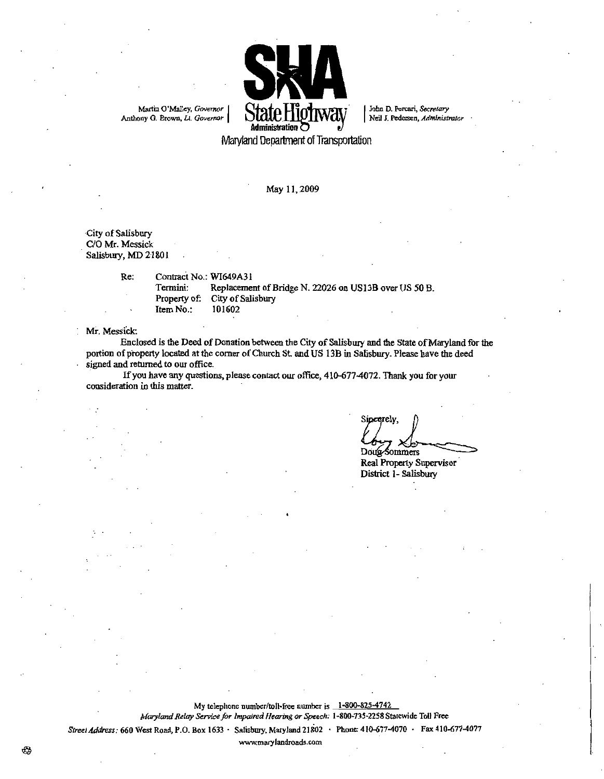

Maryland Department of Transportation

May 11, 2009

City of Salisbury C/O Mr. Messick Salisbury, MD 21801

> Re: Contract No.: WI649A31 Termini: Replacement of Bridge N. 22026 on US13B over US 50 B.<br>Property of: City of Salisbury City of Salisbury  $Item No.: 101602$

Mr. Messick:

Enclosed is the Deed of Donation between the City of Salisbury and the State of Maryland for the portion of property located at the corner of Church St. and US 13B in Salisbury. Please have the deed signed and returned to our office

If you have any questions, please contact our office, 410-677-4072. Thank you for your consideration in this matter.

Sincerely, Louis Sommers<br>Doug-Sommers<br>Real Property Supervisor

Doug-Sommers<br>Real Property Super<br>District 1- Salisbury

My telephone number/toll-free number is  $\frac{1-800-825-4742}{20}$ <br>to *Service for Impaired Hearing or Speech*: 1-800-735-2258 St<br>Box 1633 · Salisbury, Maryland 21802 · Phone: 410-677-My telephone number/toll-free number is 1-800-825-4742<br>Maryland Relay Service for Impaired Hearing or Speech: 1-800-735-2258 Statewide Toll Free<br>Street Address: 660 West Road, P.O. Box 1633 · Salisbury, Maryland 21802 · Ph

₩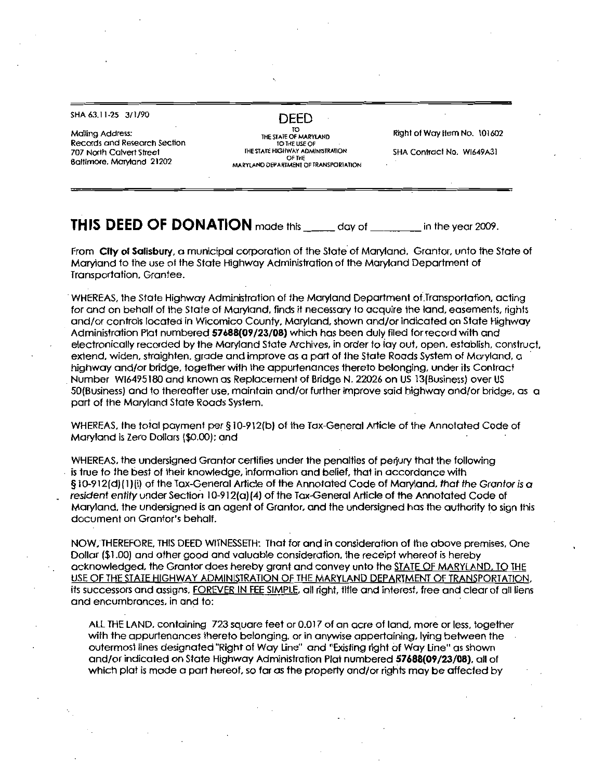# SHA 63.11-25 3/1/90

Mailing Address Records and Research Section 707 North Calvert Sheet Baltimore, Maryland 21202

DEED

TO USTATE OF MARYLAND<br>TO THE USE OF<br>HE STATE HIGHWAY ADMINISTRATION THE STATE HIGHWAY ADMINISTRATION MARYI AND DEPARIMENT OF TRANSPORTATION Right of Way Item No. 101602

SHA Contract No. WI649A31

# **THIS DEED OF DONATION** made this day of in the year 2009.

From City of Salisbury, a municipal corporation of the State of Maryland, Grantor, unto the State of Maryland to the use of the State Highway Administration of the Maryland Department of Transportation, Grantee.

WHEREAS, the State Highway Administration of the Maryland Department of Transportation, acting<br>for and on behalf of the State of Maryland, finds it necessary to acquire the land, easements, rights<br>and/or controls located i Administration Plat numbered 57688(09/23/08) which has been duly filed for record with and<br>electronically recorded by the Maryland State Archives, in order to lay out, open, establish, construct, extend, widen, straighten, grade and improve as a part of the State Roads System of Maryland, a electronically recorded by the Maryland State Archives, in order to lay out, open, establish, consextend, widen, straighten, grade and improve as a part of the State Roads System of Maryland,<br>highway and/or bridge, togethe extend, widen, straighten, grade and improve as a part of the State Roads System of Maryland, a<br>highway and/or bridge, together with the appurtenances thereto belonging, under its Contract<br>Number Wi6495180 and known as Rep 50(Business) and to thereafter use, maintain and/or further improve said highway and/or bridge, as a part of the Maryland State Roads System. Number Wi6495180 and known as Replacement of Bridge N. 22026 on US 13 (Business) over US 50 (Business) and to thereafter use, maintain and/or further improve said highway and/or bridge, c part of the Maryland State Roads S HA 63.11-25 3/1/90<br>
Idling Address:<br>
ecords and Research Section<br>
27 North Calvert Street<br>
27 North Calvert Street<br>
21 Minne, Maryland 21202<br>
10917 Calvert Street<br>
10917 and 21202<br>
10917 Calvert Street<br>
10917 Calvert Stree

Maryland is Zero Dollars (\$0.00); and

WHEREAS, the undersigned Grantor certifies under the penalties of perjury that the following<br>is true to the best of their knowledge, information and belief, that in accordance with ndersigned Grantor certifies under the penalties of perjury that the following<br>st of their knowledge, information and belief, that in accordance with<br>of the Tax-General Article of the Annotated Code of Maryland, *that the* WHEREAS, the undersigned Grantor certifies under the penalties of perjury that the following<br>is true to the best of their knowledge, information and belief, that in accordance with<br>§ 10-912(d){1)(i) of the Tax-General Art resident entity under Section 10-912(a)(4) of the Tax-General Article of the Annotated Code of<br>Maryland, the undersigned is an agent of Grantor, and the undersigned has the authority to sign this<br>document on Grantor's beha

NOW, THEREFORE, THIS DEED WITNESSETH: That for and in consideration of the above premises, One document on Grantor's behalt.<br>NOW, THEREFORE, THIS DEED WITNESSETH: That for and in consideration of the above premises, One<br>Dollar (\$1.00) and other good and valuable consideration, the receipt whereof is hereby<br>acknowled its successors and assigns, FOREVER IN FEE SIMPLE, all right, title and interest, free and clear of all liens and encumbrances, in and to:

ALL THE LAND, containing 723 square feet or 0.017 of an acre of land, more or less, together with the appurtenances thereto belonging, or in anywise appertaining, lying between the outermost lines designated "Right of Way Line" and "Existing right of Way Line" as shown ALL THE LAND, containing 723 square feet or 0.017 of an acre of land, more or less, toget with the appurtenances thereto belonging, or in anywise appertaining, lying between the outermost lines designated "Right of Way Lin and/or indicated on State Highway Administration Plat numbered 57688(09/23/08), all of<br>which plat is made a part hereof, so far as the property and/or rights may be affected by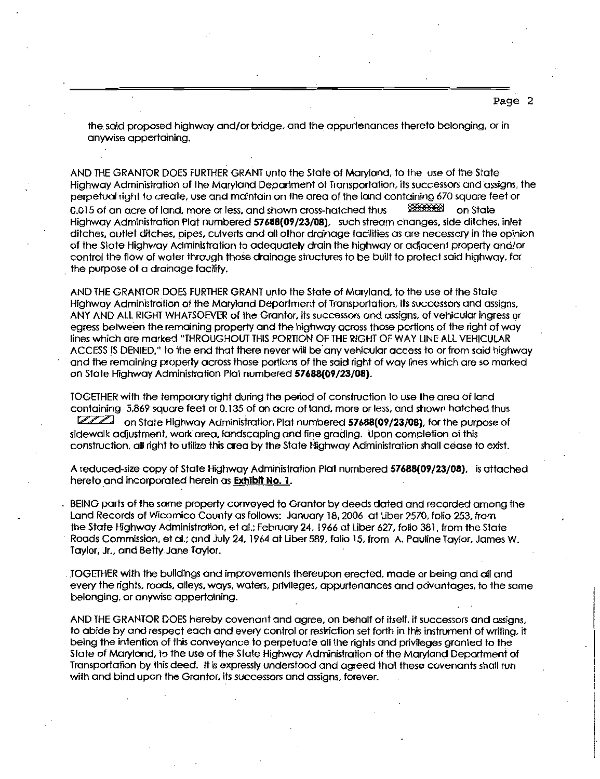the said proposed highway and/or bridge, and the appurtenances thereto belonging, or in anywise appertaining

AND THE GRANTOR DOES FURTHER GRANT unto the State of Maryland, to the use of the State Highway Administration of the Maryland Department of Transportation, its successors and assigns, the perpetual right to create, use and maintain on the area of the land containing 670 square feet or AND THE GRANTOR DOES FURTHER GRANT UNTO The State of Maryland, to the Use of the State<br>Highway Administration of the Maryland Department of Transportation, its successors and ass<br>perpetual right to create, use and maintain Highway Administration of the Maryland Department of Transportation, its successors and assigns, the perpetual right to create, use and maintain on the area of the land containing 670 square feet or 0.015 of an acre of lan Highway Administration Plat numbered 57688(09/23/08), such stream changes, side ditches, inlet ditches, pipes, culverts and all other drainage facilities as are necessary in the opinio of the State Highway Administration t the purpose of a drainage facility

AND THE GRANTOR DOES FURTHER GRANT unto the State of Maryland, to the use of the State Highway Administration of the Maryland Department of Transportation, its successors and assigns, ANY AND ALL RIGHT WHATSOEVER of the Grantor, its successors and assigns, of vehicular ingress or egress between the remaining properly and the highway across those portions of the right of way lines which are marked THROUGHOUT THIS PORTION OF THE RIGHT OF WAY LINE ALL VEHICULAR ACCESS IS DENIED," to the end that there never will be any vehicular access to or from said highway and the remaining property across those portions of the said right of way lines which are so marked on State Highway Administration Plat numbered 57688(09/23/08).

TOGETHER with The temporary right during the period of construction to use the area of land containing 5,869 square feet or 0.135 of an acre of land, more or less, and shown hatched thus<br>COO on State Highway Administration Plat numbered 57688009/23/08) for the purpose of on State Highway Administration Plat numbered 57688(09/23/08), for the purpose of sidewalk adjustment, work area, landscaping and fine grading. Upon completion of this construction, all right to utilize this area by the State Highway Administration shall cease to exist. Sidewalk adjustment, work area, landscaping and fine grading. Upon completion of this construction, all right to utilize this area by the State Highway Administration shall cease to exist.<br>A reduced-size copy of State High

A reduced-size copy of State Highway Administration Plat numbered **57688(09/23/08)**, is attached herein as **Exhibit No. 1.** 

BEING parts of the same property conveyed to Grantor by deeds dated and recorded among the Land Records of Wicomico County as follows: January 18, 2006 at Liber 2570, folio 253, from the State Highway Administration, et al.: February 24, 1966 at Liber 627, folio 381, from the State Roads Commission, et al.; and July 24, 1964 at Liber 589, folio 15, from A. Pauline Taylor, James W. Taylor, Jr., and Betty Jane Taylor.

TOGETHER with the buildings and improvements thereupon erected made or being and ail and every the rights, roads, alleys, ways, waters, privileges, appurtenances and advantages, to the same belonging, or anywise appertaining.

AND THE GRANTOR DOES hereby covenant and agree, on behalf of itself, it successors and assigns,<br>to abide by and respect each and every control or restriction set forth in this instrument of writing, it being the intention of this conveyance to perpetuate all the rights and privileges granted to the State of Maryland, to the use of the State Highway Administration of the Maryland Department of Transportation by this deed. It is expressly understood and agreed that these covenants shall run with and bind upon the Grantor, its successors and assigns, forever.

Page 2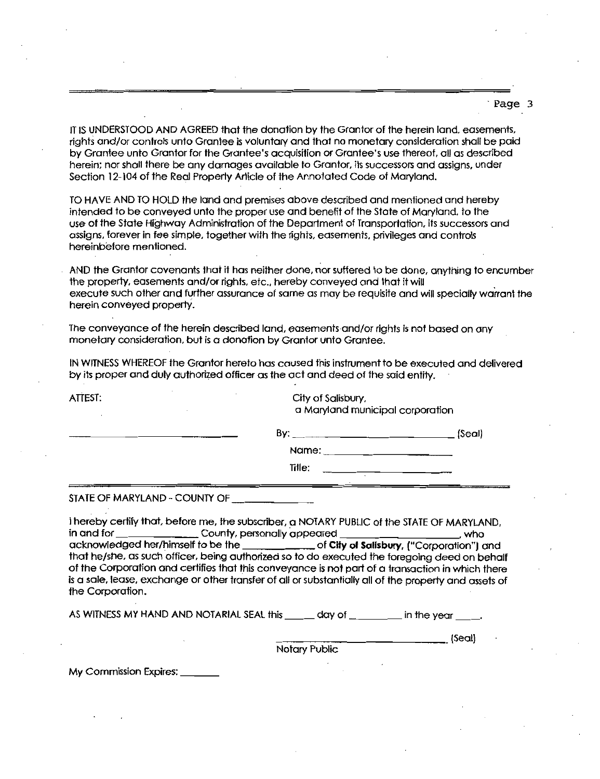Page 3

IT IS UNDERSTOOD AND AGREED that the donation by the Grantor of the herein land, easements, rights uniderstood and agreed that the donation by the Grantor of the herein land, easements,<br>rights and/or controls unto Grantee is voluntary and that no monetary consideration shall be paid Page IT IS UNDERSTOOD AND AGREED that the donation by the Grantor of the herein land, easements<br>rights and/or controls unto Grantee is voluntary and that no monetary consideration shall be pair<br>by Grantee unto Grantor for by Grantee unto Grantor for the Grantee's acquisition or Grantee's use thereof, all as described<br>herein: nor shall there be any damages available to Grantor, its successors and assigns, under Section 12-104 of the Real Property Article of the Annotated Code of Maryland.

TO HAVE AND TO HOLD the land and premises above described and mentioned and hereby intended to be conveyed unto the proper use and benefit of the State of Maryland, to the use of the State Highway Administration of the Department of Transportation, its successors and assigns, forever in fee simple, together with the rights, easements, privileges and controls hereinbefore mentioned

AND the Grantor covenants that it has neither done, nor suffered to be done, anything to encumber<br>the property, easements and/or rights, etc., hereby conveyed and that it will the property, easements and/or rights, etc., hereby conveyed and that it will<br>execute such other and further assurance of same as may be requisite and will specially warrant the herein conveyed property.

The conveyance of the herein described land, easements and/or rights is not based on any monetary consideration, but is a donation by Grantor unto Grantee.

IN WITNESS WHEREOF the Grantor hereto has caused this instrument to be executed and delivered by its proper and duly authorized officer as the oct and deed of the said entity

ATTEST: City of Salisbury. a Maryland municipal corporation

| By.   | $\_$ (Seal) |
|-------|-------------|
| Name: |             |

Title:

STATE OF MARYLAND - COUNTY OF

I hereby certify that, before me, the subscriber, a NOTARY PUBLIC of the STATE OF MARYLAND,<br>in and for county, personally appeared County, personally appeared acknowledged herimself to be the of City of Salisbury Corporation and that he she counter that her sheared the matter of City of Salisbury, ("Corporation") and<br>that he she, as such officer, being authorized so to do executed the foregoing deed on behalf that he/she, as such officer, being authorized so to do executed the foregoing deed on behalf<br>of the Corporation and certifies that this conveyance is not part of a transaction in which there is a sale, lease, exchange or other transfer of all or substantially all of the property and assets of

the Corporation

AS WITNESS MY HAND AND NOTARIAL SEAL this  $\frac{1}{\sqrt{2}}$  day of  $\frac{1}{\sqrt{2}}$  in the year  $\frac{1}{\sqrt{2}}$ 

(Seal)

Notary Public

My Commission Expires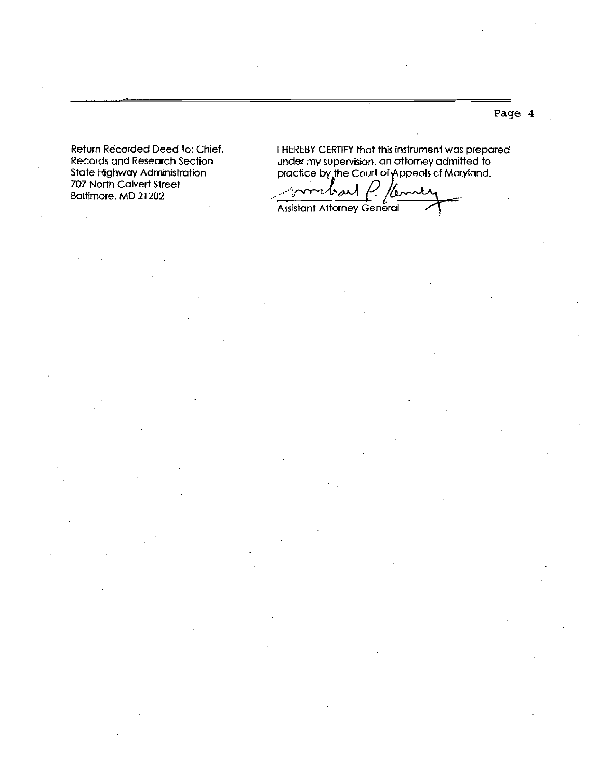Return Recorded Deed to: Chief, Records and Research Section State Highway Administration 707 North Calvert Street Baltimore, MD 21202

 $\cdot$ 

 $\mathcal{L}$ 

<sup>I</sup> HEREBY CERTIFY that this instrument was prepared under my supervision, an attorney admitted to practice by the Court of Appeals of Maryland.

bar /bm Assistant Attorney General

Page 4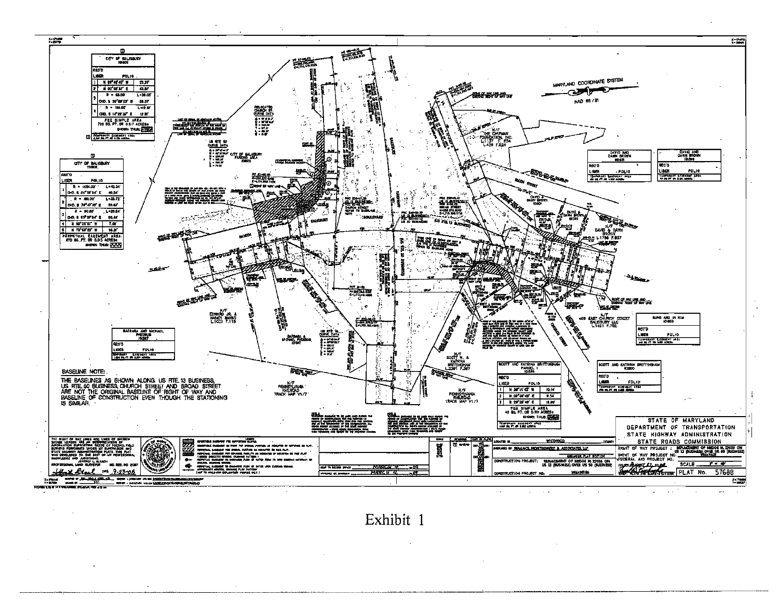

Exhibit 1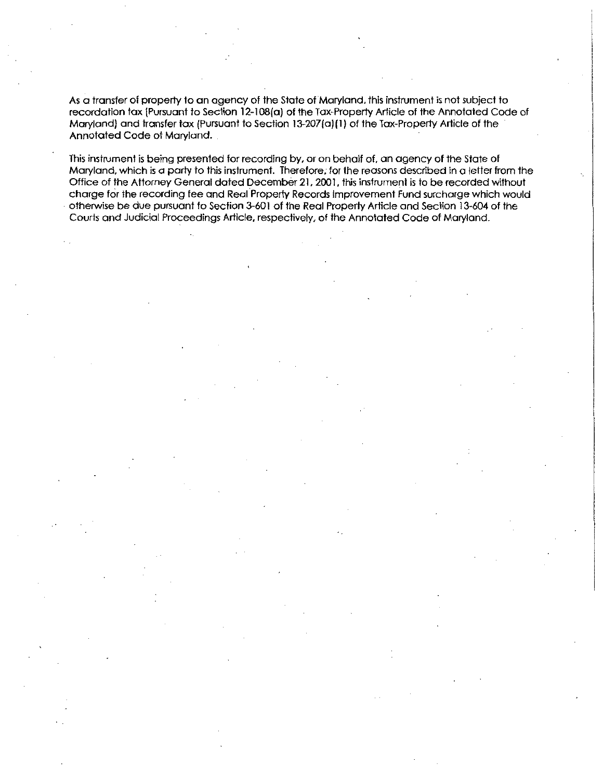As a transfer of property to an agency of the State of Maryland, this instrument is not subject to As a transfer of property to an agency of the State of Maryland, this instrument is not subject to<br>recordation tax (Pursuant to Section 12-108(a) of the Tax-Property Article of the Annotated Code of<br>Maryland) and transfer As a transfer of property to an agency of the State of Maryland, this instrument is not subject the<br>recordation tax (Pursuant to Section 12-108(a) of the Tax-Property Article of the Annotated Co<br>Maryland) and transfer tax Maryland) and transfer tax (Pursuant to Section 13-207(a)(1) of the Tax-Property Article of the Annotated Code of Maryland.

This instrument is being presented for recording by, or on behalf of, an agency of the State of Maryland, which is a party to this instrument. Therefore, for the reasons described in a letter from the Maryland, which is a party to this instrument. Therefore, for the reasons described in a letter from th<br>Office of the Attorney General dated December 21, 2001, this instrument is to be recorded without<br>charge for the recor charge for the recording fee and Real Property Records Improvement Fund surcharge which would<br>otherwise be due pursuant to Section 3-601 of the Real Property Article and Section 13-604 of the Courts and Judicial Proceedings Article, respectively, of the Annotated Code of Maryland.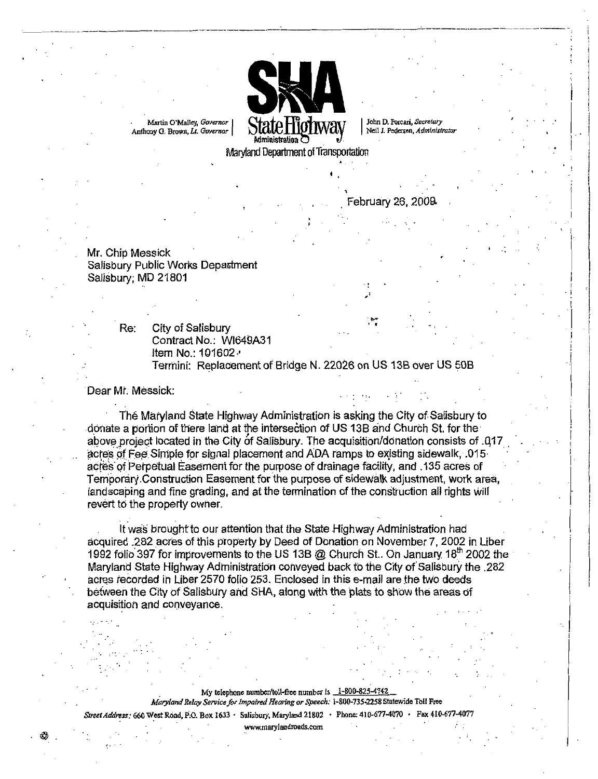

February 26 2009

**44** 

Mr. Chip Messick Salisbury Public Works Department Salisbury, MD 21801

> Re: City of Salisbury Contract No.: WI649A31 ltem No.: 101602 · Termini: Replacement of Bridge N. 22026 on US 13B over US 50B

### Dear Mr. Messick:

The Maryland State Highway Administration is asking the City of Salisbury to donate a portion of there land at the intersection of US 13B and Church St. for the above project located in the City of Salisbury The acquisition donation consists of <sup>417</sup> acres of Fee Simple for signal placement and ADA ramps to existing sidewalk, 015 acres of Perpetual Easement for the purpose of drainage facility, and 135 acres of Temporary Construction Easement for the purpose of sidewalk adjustment, work area, landscaping and fine grading, and at the termination of the construction all rights will revert to the property owner.

It was brought to our attention that the State Highway Administration had acquired 282 acres of this property by Deed of Donation on November 7, 2002 in Liber acquired .282 acres of this property by Deed of Donation on November 7, 2002 in Liber 1992 folio 397 for improvements to the US 13B @ Church St.. On January 18<sup>th</sup> 2002 the Maryland State Highway Administration conveyed b Maryland State Highway Administration conveyed back to the City of Salisbury the .282<br>acres recorded in Liber 2570 folio 253. Enclosed in this e-mail are the two deeds betweeh the City of Salisbury and SHA along with the plats to show the areas of <sup>4</sup> acquisition and conveyance

> My telephone number/toll-free number is  $1-800-825-4742$ <br>y Service for Impaired Hearing or Speech:  $1-800-735-2258$  Sti<br>Rox 1633 • Salisbury Maryland 21802 • Phone: 410-677-4 My telephone number/toll-free number is  $\frac{1-800-825-4742}{2}$ <br>Maryland Relay Service for Impaired Hearing or Speech: 1-800-735-2258 Statewide Toll Free

Ny telephone number/toll-free number is ...1-800-825-4742<br>Maryland Relay Service for Impaired Hearing or Speech: 1-800-735-2258 Statewide Toll Free<br>Street Address: 660 West Road, P.O. Box 1633 · Salisbury, Maryland 21802 ·

mparea riearing or speed<br>Salisbury, Maryland 21802<br>www.marylandroads.com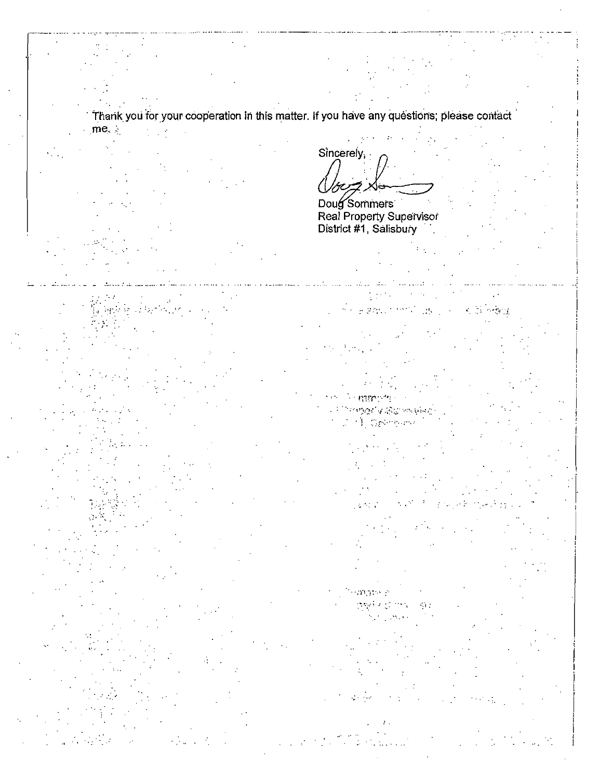Thank you for your cooperation in this matter. If you have any questions; please contact

Sincerely,

Doug Sommers Real Property Supervisor<br>District #1, Salisbury

**State Bandy** 

 $-324.1$ 

 $\cdot$ r.

m nto

**Service**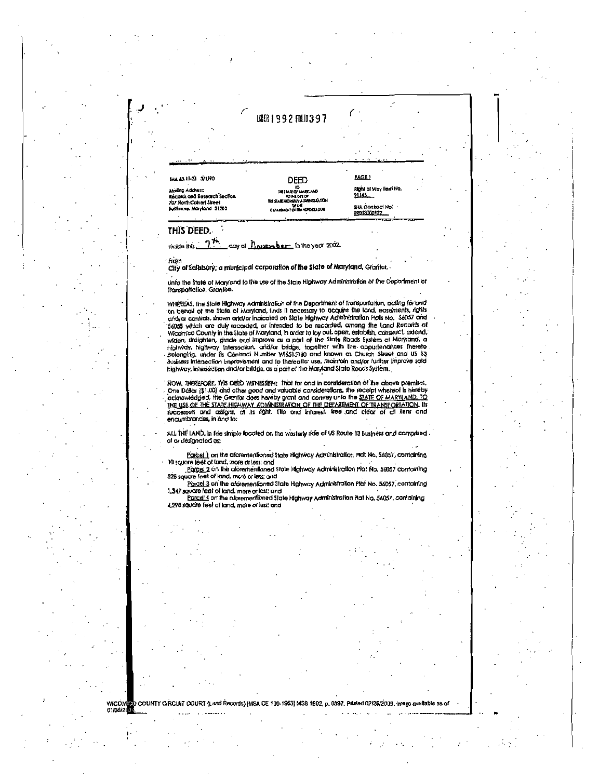# LISER | 992 FOL 1397

| ٠                                                  |                                                                                              |                                       |
|----------------------------------------------------|----------------------------------------------------------------------------------------------|---------------------------------------|
| ha 43.11-23 3/1/90                                 | DEED                                                                                         | PAGE!                                 |
| Acting Address:<br>ecords and Research Section     | 10<br><b>URESTATE OF MARKAND</b><br><b>20 MI UIT OF</b><br>THE STATE HIGHWAY ADAPTISTICATION | Right of Way Herri No.<br>91145       |
| 07 North Calvert Skeet<br>ottimore, Moryland 21202 | <b>OF THE</b><br><b>CUMPULOIT OF TRANSPORTAGON</b>                                           | <b>SHA Contact No.</b><br>RRD13000122 |

#### THIS DEED.

mode this ?? day of *housember* in the year 2002

Fram

01/06/2

City of Salisbury, a municipal carporation of the State of Maryland, Grantor,

Unfo the State of Maryland to the use of the State Highway Administration of the Department of<br>Transportation, Grantee.

WHEREAS, the State Highway Administration of the Department of Transportation, acting for and<br>on behalf of the State of Maryland, finds it necessary to acquire the land, eosements, rights<br>analysis confirds, shown and/or in aridian contrids, shown and/or indicated on State Highway Administration Plots No. 3605/ and 36058 which are duly recorded, or intended to be recorded, among the Land Records of Wicomico County in the State of Maxyland, in highway, intersection and/or bridge, as a part of the Maryland State Roads System.

NOW, THEREFORE, THIS DEED WITNESSETH: That for and in consideration of the above premises, One Dollar (\$1,00) and other good and valuable considerations, the receipt whereof is hereby Che Dosar (\$1,00) and other good and volutions considerations. The receipt wheelers instead (\$1,00) and other good and volutions considerations. The state of the STATE HIGHWAY COMPUSTRATION OF THE DEPARTMENT OF TRANSPORTAT

ALL THE LAND, in fee simple located on the westerly side of US Route 13 Business and comprised. of or designated as:

Porcel Lon the aforementioned State Highway Administration Picit No. 56057, containing 10 square feet of land, more ar less; and

Farcel 2 on the alorementioned state Highway Administration Plat No. 56057 containing 528 square feet of land, more or less; and

Parcel 3 on the aforementioned State Highway Administration Plat No. 56057, containing 1,347 square feet of land, more or less; and

Parael 4 on the aforementioned State Highway Administration Plat No. 56057, containing 4.298 soucire feet of land, more or less and

**WICO!** COUNTY CIRCUIT COURT (Land Records) (MSA CE 100-1963) MSB 1992, p. 0397. Printed 02/25/2009.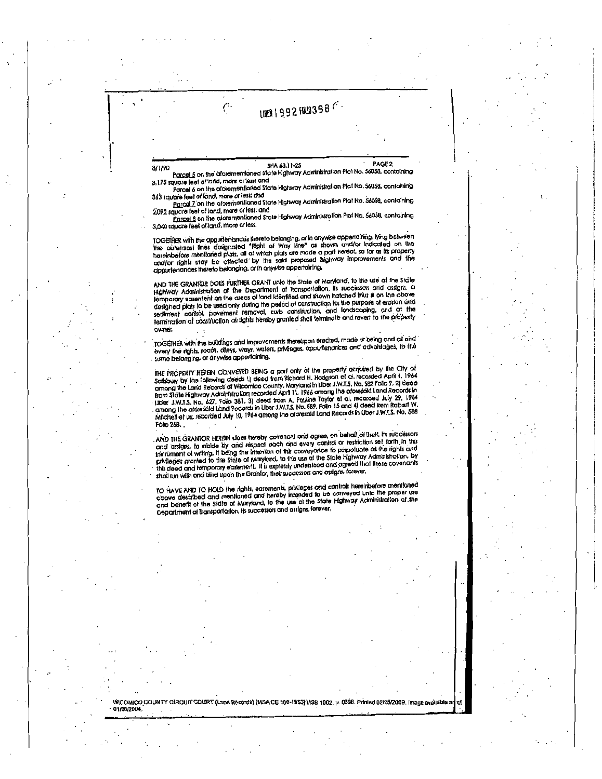# LIBER | 992 FRIB398 F

3/1/90

PAGE<sub>2</sub> SHA 63.11-25

Parcel 5 on the aforementioned State Highway Administration Plot No. 56058, contoining 3,175 square feet of land, more or less; and Porcel 6 on the aforementioned State Highway Administration Plat No. 56058, containing

ŗ.

363 square feet of land, more or less; and Parcel 7 on the aforementioned State Highway Administration Plat No. 56058, containing

2,092 square leet of land, more or less; and Parcel 8 on the algrementioned State Highway Administration Plat No. 56058, containing 3,040 square feet of land, more or less.

TOGETHER with the appurtenances thereto belonging, or in anywise appertaining, lying between the outermost lines designated "Right of Way Line" as shown analysr indicated on the hereinbefore mentioned plats, all of which plats are made a part hereof, so for as its property contained to the man begins when the said proposed highway improvements and the appurtenances thereto belonging, or in anywise appertaining,

AND THE GRANTOR DOES FURTHER GRANT unto the state of Maryland, to the use of the State Highway Administration of the Department of Transportation, its successors and assigns, a temporary consensus on the areas of land identified and shown hatched thus at on the obove designed plats to be used only during the period of construction for the purpose of erosion and sediment control, pavement removal, cuto construction, and landscaping, and at the sediment control, pavement removal, cuto construction, and landscaping, and at the owner.

TOGETHER with the buildings and improvements thereupon erected, made ar being and all and a communication in the consense since interesting in retreation interrest made at being and oil and<br>every the rights, roads, dileys, ways, waters, privileges, appurtenances and advantages, to the<br>same belonging, or anywise

THE PROPERTY HEREN CONVEYED BEING a part only of the property acquired by the City of Salsbury by the following deeds 1) deed trom Richard H. Hodgson et al. recorded April 1, 1964<br>Salsbury by the following deeds 1) deed trom Richard H. Hodgson et al. recorded April 1, 1964<br>among the Land Records of Wicomico ormong the Land Records of Wisconneco County, Maryland in Liber J.W.1.3. Pro, 302 FOID 7. 2) Geed<br>from Stöte Highway Administration recorded April 11, 1966 among the oforescial Land Records in<br>Liber J.W.T.S. No. 627, Folio Attiched et ux, recorded July 10, 1964 among the alcresaid Land Records in Liber J.W.T.S. No. 588 Foto 268.

AND THE GRANTOR HERBIN does hereby covenant and agree, on behalf of Itself, its successors<br>and assigns, to abide by and respect each and every control or restriction set forth in this<br>instrument of writing, it being the i privileges granted to this State of Maryland, to the use of the State Highway Administration, by<br>this deed and temporary easement. It is expressly understood and agreed that these covenants shall run with and blind upon the Grantor, their successors and assigns, forever,

TO HAVE AND TO HOLD the rights, easements, privileges and controls hereinbefore mentioned above described and mentioned and hereby intended to be conveyed unto the proper use and benefit of the State of Maryland, to the us Department of Transportation, its successors and assigns, forever,

WICOMICO COUNTY CIRCUIT COURT (Land Records) [MSA CE 100-1953] MSB 1992, p. 0398. Printed 02/25/2009. Image available 01/06/2004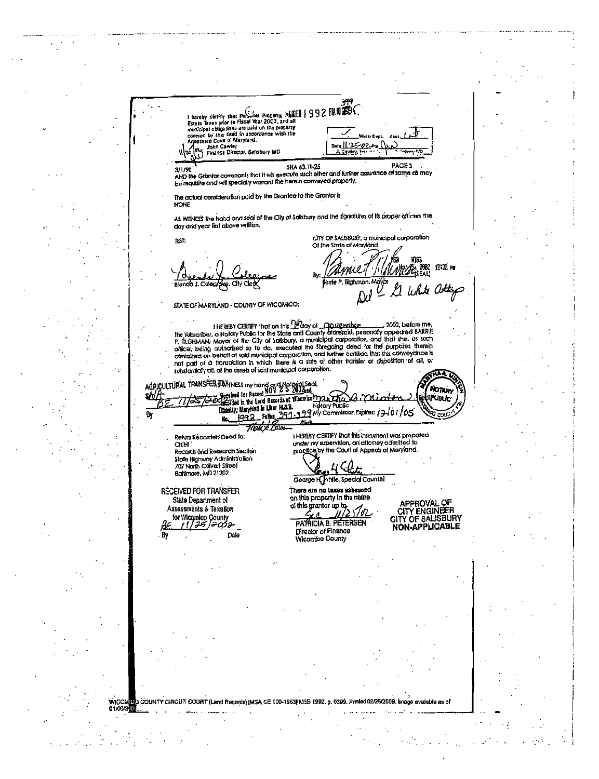Figure  $\frac{1}{2}$ <br>
to Taxes prior to Fischions People to Taxes point of Example 1002, and all<br>
to Taxes prior to Fiscal Your 2002, and all<br>
to the property<br>
rad by this dead in accordance with the<br>
raded Code of Maryland.<br> **Estate Taxes pr** .<br>Neter Cupi 125-02 John Cawley<br>Finance Director, Salisbury MD  $\mathcal{W}$ J. Cawley, F PAGE3 SHA 63.11-25 3/1/90 AND the Grantor covenants that it will execute such other and further assurance of same as may be requisite and will specially warrant the herein conveyed properly. The actual consideration poid by the Grantee to the Grantor is NONE AS WITNESS the hand and seal of the City of Salisbury and the signatures of its proper officiers the day and year first above witten. CITY OF SALISBURY, a municipal corporation **TEST:** Of the State of Marviand 9197 lonie P. Blahman, Mo STATE OF MARYLAND - COUNTY OF WICOMICO: I HEREBY CERTIFY that on this Charg of COMProblem (2002, before me,<br>the subscriber, a Notary Public for the State and County differential, personally appeared BARRIE<br>P. Til GHMAN, Mayor of the City of Salisbury, a municipa r, successively mayor of the City of solid and the foregoing corporation, and that she, as such officer, being activated to to do, executed the foregoing deed for the furgoing theorem contained on behavior and turther cer AGRICULTURAL TRANSFER JAYINESS my hond and Notoriol Section of the Section of the Section of the Section of the Section of the Section of the Section of the Section of the Section of the Section of the Section of the Secti NOTAIN genres sor asserts<br>Earded in the Land Records of Wicconico man a frage<br>havily, bloryfand in Liner MSS.B. **PUBLIC** Hardwich in the Land Hamilton.<br>Datanty: Maryland in Liner HASB.<br>No. 1992 Fallos 291-3<br>7/2400 Corporation 99 My Commission Expires: 12/01/05  $\overline{B}$ **I HEREBY CERTIFY that this instrument was prepared** Return Recorded Deed to: under my supervision, an attorney admitted to Chief practice by the Court of Appeals of Maryland. Records and Research Section Stafe Highway Administration<br>707 North Calvert Street Baltimore, MD 21202 **Vhite, Special Counsel** George H RECEIVED FOR TRANSFER There are no taxes assessed on this property in the name State Department of APPROVAL OF<br>CITY ENGINEER of this grantor up to Assessments & Taxallon  $G_{l,\ell}$ ., for Wicamico County CITY OF SALISBURY PATRICIA B. PETERSEN 735 1=032 NON-APPLICABLE Director of Finance Dak Wicomico County .<br>D COUNTY CIRCUIT COURT (Land Records) (MSA CE 100-1953) MSB 1992, p. 0399, Printed 02/25/2009. **WICO** cailabha an of 01/06/210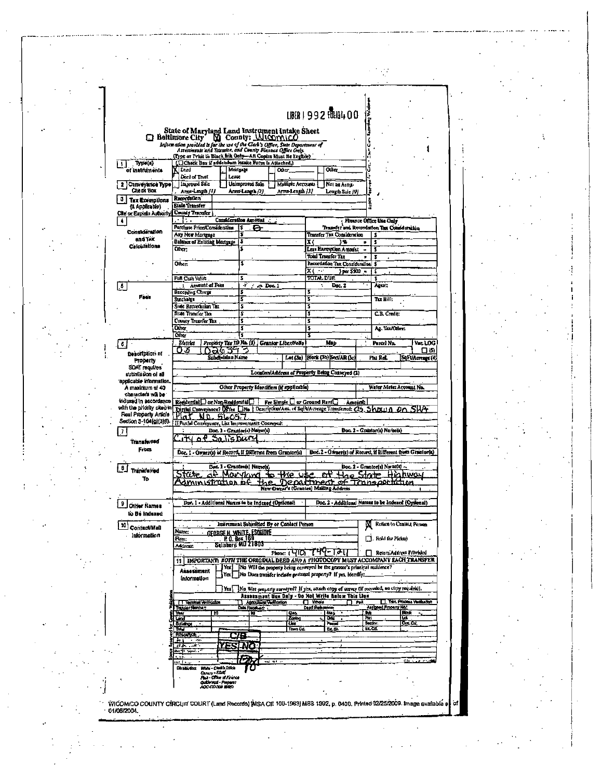|                                                                                                                                                    |                                                                                                                                             |                                                                         |                                                   |                                                                                                                                                 |                               | <b>LISER   992 FOLIO 100</b>                              |                     |                                                   |                     |                  |
|----------------------------------------------------------------------------------------------------------------------------------------------------|---------------------------------------------------------------------------------------------------------------------------------------------|-------------------------------------------------------------------------|---------------------------------------------------|-------------------------------------------------------------------------------------------------------------------------------------------------|-------------------------------|-----------------------------------------------------------|---------------------|---------------------------------------------------|---------------------|------------------|
|                                                                                                                                                    |                                                                                                                                             |                                                                         |                                                   |                                                                                                                                                 |                               |                                                           | ta proving Va       |                                                   |                     |                  |
|                                                                                                                                                    | □ Baltimore City                                                                                                                            |                                                                         |                                                   |                                                                                                                                                 |                               |                                                           |                     |                                                   |                     |                  |
|                                                                                                                                                    | Information provided is for the use of the Clerk's Office, State Department of<br>Assessments and Toxation, and County Finance Office Only. |                                                                         |                                                   |                                                                                                                                                 |                               |                                                           | ś                   |                                                   |                     |                  |
|                                                                                                                                                    | Type or Print to Black Ink Only—AR Copies Must Be l'eglisle)                                                                                |                                                                         |                                                   |                                                                                                                                                 |                               |                                                           |                     |                                                   |                     |                  |
| Typis(s)<br>of Instruments                                                                                                                         | (CCheck Box if addendum Intake Form is Attached.)<br>Deed                                                                                   | Mritgage                                                                |                                                   | <b>Other</b>                                                                                                                                    |                               | Other                                                     | Ű                   |                                                   |                     |                  |
|                                                                                                                                                    | Deed of Trust<br>Improved Sile                                                                                                              | Lease                                                                   | Unimproved Sale                                   | Multiple Accounts                                                                                                                               |                               | Nai an Arms.                                              |                     |                                                   |                     |                  |
| Conveyance Type<br>$\mathbf{2}$<br>Chack Box                                                                                                       | Ama-Length (1)                                                                                                                              |                                                                         | Arms-Leagth / 2)                                  | Arns-Leagh /3/                                                                                                                                  |                               | Length Sale 191                                           |                     |                                                   |                     |                  |
| <b>Tax Exemplions</b>                                                                                                                              | Recordation<br>Sinte Transfer                                                                                                               |                                                                         |                                                   |                                                                                                                                                 |                               |                                                           | i.                  |                                                   |                     |                  |
| (Il Astilicable)<br>Cite or Explain Authority                                                                                                      | County Transfer                                                                                                                             |                                                                         |                                                   |                                                                                                                                                 |                               |                                                           |                     |                                                   |                     |                  |
|                                                                                                                                                    | ٠<br>t.<br>Purchase Price/Consideration                                                                                                     |                                                                         | Consideration Amount .:<br>١s<br>a                |                                                                                                                                                 |                               | Transfer and Recordation Tax Consideration                |                     | Finance Office Lita Guly                          |                     |                  |
| Considération                                                                                                                                      | Any New Mortraye                                                                                                                            |                                                                         | s                                                 |                                                                                                                                                 |                               | <b>Transfer Tax Consideration</b>                         |                     | s                                                 |                     |                  |
| and Tax<br>Calculations                                                                                                                            | <b>Balance of Existing Mongage</b><br>Other:                                                                                                |                                                                         | \$                                                |                                                                                                                                                 | x (                           | ) ዔ<br>Less Execucion Amount                              | $\blacksquare$      | \$<br>ŝ                                           |                     |                  |
|                                                                                                                                                    |                                                                                                                                             |                                                                         |                                                   |                                                                                                                                                 |                               | Total Transfer Tax                                        | ×                   | 2                                                 |                     |                  |
|                                                                                                                                                    | Other:                                                                                                                                      |                                                                         | \$                                                |                                                                                                                                                 | $\overline{x}$ $\overline{C}$ | Recordation Tax Consideration<br>$3 per 5900 -$           |                     | \$<br>\$                                          |                     |                  |
|                                                                                                                                                    | Full Cash Value                                                                                                                             |                                                                         | \$                                                |                                                                                                                                                 | <b>TOTAL DUE</b>              |                                                           |                     | Ś                                                 |                     |                  |
| $\mathbf{.5}$                                                                                                                                      | Amount of Fees<br>Ł<br>Recording Charge                                                                                                     |                                                                         | ۰F<br>A Doc.1<br>\$                               |                                                                                                                                                 | $\ddot{\phantom{0}}$<br>š     | Doc. 2                                                    |                     | Agent;                                            |                     |                  |
| Faai.                                                                                                                                              | Surcharge                                                                                                                                   |                                                                         | 5                                                 |                                                                                                                                                 | 3                             |                                                           |                     | Tax Bill:                                         |                     |                  |
|                                                                                                                                                    | Sinte Recordation Tax<br>Sinte Transfer Thx                                                                                                 |                                                                         | 2<br>5                                            |                                                                                                                                                 | Š<br>3                        |                                                           |                     | C.B. Credit:                                      |                     |                  |
|                                                                                                                                                    | County Transfer Tax                                                                                                                         |                                                                         | \$                                                |                                                                                                                                                 | 3                             |                                                           |                     |                                                   |                     |                  |
|                                                                                                                                                    | Other<br>Other                                                                                                                              |                                                                         | Ś                                                 |                                                                                                                                                 | 3                             |                                                           |                     | Ag. Tax/Other:                                    |                     |                  |
| ರೆ                                                                                                                                                 | Datitet                                                                                                                                     |                                                                         |                                                   | Property Tax ID No. (1) Granter Liber/Fello                                                                                                     |                               | Map                                                       |                     | Parcel No.                                        |                     | Var LOG          |
| Description of                                                                                                                                     | OS                                                                                                                                          | ೧೩೯೫ ಸ                                                                  |                                                   |                                                                                                                                                 |                               |                                                           |                     | Pint Ref.                                         |                     | ⊓ க              |
| Property                                                                                                                                           | Lot (3a) Hock (3h) Sect/AR (3c)<br>Subdivision Name                                                                                         |                                                                         |                                                   |                                                                                                                                                 |                               |                                                           |                     |                                                   |                     | SqFt/Acreage (4) |
|                                                                                                                                                    |                                                                                                                                             |                                                                         |                                                   |                                                                                                                                                 |                               |                                                           |                     |                                                   |                     |                  |
| SDAT requires<br>Ne lo noissimissa                                                                                                                 |                                                                                                                                             |                                                                         |                                                   | Location/Address of Property Being Conveyed (2)                                                                                                 |                               |                                                           |                     |                                                   |                     |                  |
| A maximum of 40                                                                                                                                    |                                                                                                                                             |                                                                         |                                                   | Other Property Identifiers (if applicable)                                                                                                      |                               |                                                           |                     | Water Meter Account No.                           |                     |                  |
| characters will be                                                                                                                                 |                                                                                                                                             |                                                                         |                                                   |                                                                                                                                                 |                               |                                                           |                     |                                                   |                     |                  |
|                                                                                                                                                    | Residental or Non-Residential<br>Partial Conveyance? Daves Ne   Description/Ams. of Sql-VAcreage Transferred: C(5, 5   DCL) f)              |                                                                         |                                                   | Fre Simple C or Ground Rent                                                                                                                     |                               |                                                           | Amaunt:             |                                                   |                     |                  |
|                                                                                                                                                    | Mat ND 56057                                                                                                                                |                                                                         |                                                   |                                                                                                                                                 |                               |                                                           |                     |                                                   |                     |                  |
|                                                                                                                                                    | If Pardal Conveyance, List Improvements Conveyed:                                                                                           |                                                                         | Doc. 1 - Grandor(r) Name(r)                       |                                                                                                                                                 |                               |                                                           |                     | Doc. 2 - Grander(a) Name(a)                       |                     |                  |
| Transferred                                                                                                                                        |                                                                                                                                             | <u>Salisbury</u>                                                        |                                                   |                                                                                                                                                 |                               |                                                           |                     |                                                   |                     |                  |
| <b>From</b>                                                                                                                                        | Doc. 1 - Owner(s) of Record, if Different from Grantor(s)                                                                                   |                                                                         |                                                   |                                                                                                                                                 |                               | Doc. 2 - Owner(s) of Record, if Different from Grantor(s) |                     |                                                   |                     |                  |
|                                                                                                                                                    |                                                                                                                                             |                                                                         | Dor. 1 - Granteets) Name(s)                       |                                                                                                                                                 |                               |                                                           |                     | Doc. 2 - Grantee(s) Name(s) -                     |                     |                  |
| Tránaferred<br>T٥                                                                                                                                  |                                                                                                                                             |                                                                         | Manykind                                          | thie use                                                                                                                                        |                               | e۲                                                        | Hoe Strik           |                                                   | Highway             |                  |
|                                                                                                                                                    | drnin                                                                                                                                       |                                                                         | he                                                | New Owner's (Grantes) Malizag Address                                                                                                           |                               | Department of Transportation                              |                     |                                                   |                     |                  |
|                                                                                                                                                    |                                                                                                                                             |                                                                         |                                                   |                                                                                                                                                 |                               |                                                           |                     |                                                   |                     |                  |
| Oʻliter Names                                                                                                                                      | Dne. I - Additional Names to be Indexed (Optional)                                                                                          |                                                                         |                                                   |                                                                                                                                                 |                               | Doc. 2 - Additional Names to be Indexed (Optional)        |                     |                                                   |                     |                  |
| to Be Incexed                                                                                                                                      |                                                                                                                                             |                                                                         |                                                   |                                                                                                                                                 |                               |                                                           |                     |                                                   |                     |                  |
| <b>Contact/Mall</b>                                                                                                                                | Name:                                                                                                                                       |                                                                         |                                                   | Instrument Submitted By or Contact Person                                                                                                       |                               |                                                           | w                   | Retium to Contain Person                          |                     |                  |
| Information                                                                                                                                        | Firm:                                                                                                                                       |                                                                         | <b>GEORGE H. WHITE, ESCALIKE</b><br>H. O. Box 189 |                                                                                                                                                 |                               |                                                           |                     | Redd for Pickup                                   |                     |                  |
|                                                                                                                                                    | Address:                                                                                                                                    |                                                                         | Salisbury, MD 21803                               | Phone: (410, 749-121)                                                                                                                           |                               |                                                           |                     | Return Address Provided                           |                     |                  |
|                                                                                                                                                    | 11                                                                                                                                          |                                                                         |                                                   | IMPORTANT: BOTH THE ORIGINAL DEED AND A PHOTOCOPY MUST ACCOMPANY EACH TRANSFER                                                                  |                               |                                                           |                     |                                                   |                     |                  |
|                                                                                                                                                    | Assessment                                                                                                                                  | Yes  <br>Ya 1                                                           |                                                   | [No Will the property ocing conveyed be the grantee's principal residence?<br>No Duca transfer include personal property? If yes, identify:     |                               |                                                           |                     |                                                   |                     |                  |
|                                                                                                                                                    | <i><b><u>Information</u></b></i>                                                                                                            | Yes                                                                     |                                                   |                                                                                                                                                 |                               |                                                           |                     |                                                   |                     |                  |
|                                                                                                                                                    |                                                                                                                                             |                                                                         |                                                   | No Was one erty surveyed? If yes, attach entry of aurey (if recorded, no curry required).<br>Assessment Use Daly - Do Not Write Batox This Live |                               |                                                           |                     |                                                   |                     |                  |
|                                                                                                                                                    | <b>I Technol Verification</b><br>Tribuler Northern                                                                                          |                                                                         | Andounum Versication<br>Data Received: .          |                                                                                                                                                 | <b>TT</b> Whole<br>Deed Remar |                                                           | ான                  | Then Process Ventication<br>Assigned Property No. |                     |                  |
|                                                                                                                                                    | Year<br>Lind                                                                                                                                |                                                                         | ⊺≌ō                                               | Geo<br>Zone                                                                                                                                     |                               | Tues.<br>ъ.                                               | <b>But</b><br>Pirt. |                                                   | Block<br><u>tai</u> |                  |
|                                                                                                                                                    | <b>Bulldings</b><br>ष्ट्य                                                                                                                   |                                                                         |                                                   | τ<br>Town Cd.                                                                                                                                   |                               | Page<br>Er. DI.                                           | Section<br>Ex.Cd.   |                                                   | Doc.Cu.             |                  |
|                                                                                                                                                    | <b>REMARKAT:</b><br>五日<br>$\rightarrow$                                                                                                     |                                                                         |                                                   |                                                                                                                                                 |                               |                                                           |                     |                                                   |                     |                  |
|                                                                                                                                                    | $H_1$ , $H_2$ , $H_3$ , $H_4$<br><b>Androw</b>                                                                                              |                                                                         | רא                                                |                                                                                                                                                 |                               |                                                           |                     |                                                   |                     |                  |
|                                                                                                                                                    | 4. 4                                                                                                                                        |                                                                         |                                                   | <b>The Manufacturer</b>                                                                                                                         |                               |                                                           |                     |                                                   |                     |                  |
| applicable information.<br>indexed in accordance<br>with the priority clied in<br>Real Property Article<br>Section 3-104(g)(3)(l).<br>7<br>θ<br>10 | <b>Obside that</b><br>Canary - SDAT                                                                                                         | White - Clust's Office                                                  |                                                   |                                                                                                                                                 |                               |                                                           |                     |                                                   |                     |                  |
|                                                                                                                                                    |                                                                                                                                             | Pak - Olios st France<br><b>Goldenius - Properti</b><br>AOC-CO-TOP BARS |                                                   |                                                                                                                                                 |                               |                                                           |                     |                                                   |                     |                  |

 $\bar{\beta}$ 

 $\mathcal{L}$ 

 $\sim$   $\sim$ 

 $\ddot{\phantom{a}}$ 

 $\bar{z}$ 

 $\bar{z}$  $\ddot{\phantom{0}}$  $\ddotsc$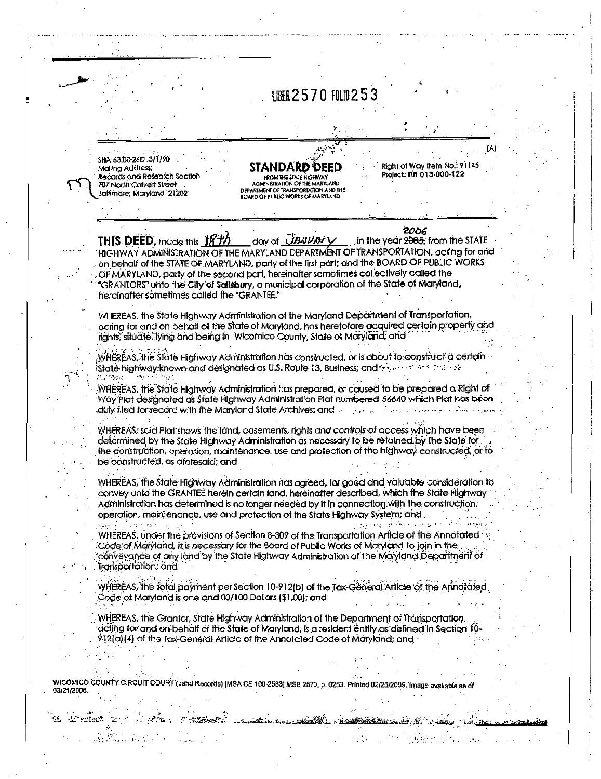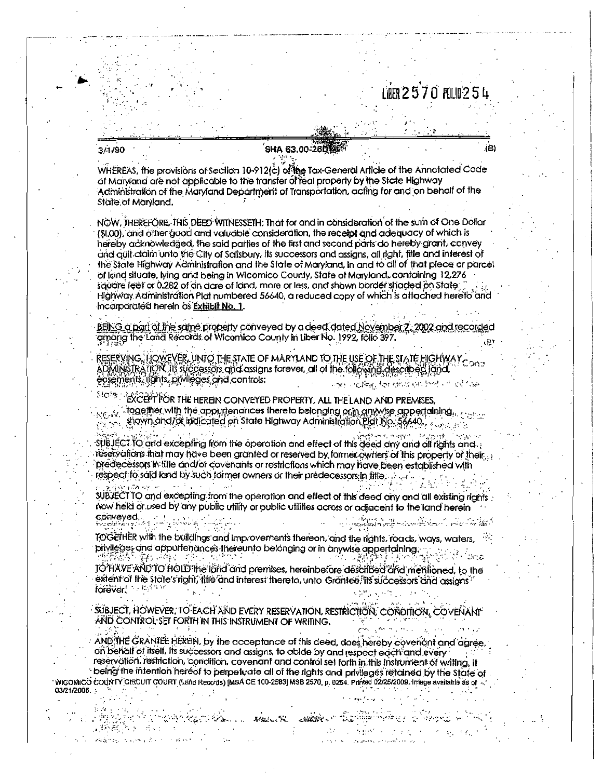# LIFR 2570 FOLD 254

#### 3/1/90

03/21/2006. :

des Statistics.

 $\sim 10$ UREAR AT T

ねありた こうべんえい いっちゃ

# **SHA 63.00-260**

WHEREAS, the provisions of Section 10-912(c) of the Tax-General Article of the Annotated Code of Maryland are not applicable to the transfer of real properly by the State Highway Administration of the Maryland Department of Transportation, acting for and on behalf of the State of Maryland.

NOW, THEREFORE, THIS DEED WITNESSETH. That for and in consideration of the sum of One Dollar (\$1,00), and other good and valuable consideration, the receipt and adequacy of which is hereby acknowledged, the said parties of the first and second parts do hereby grant, convey and guit claim unto the City of Salisbury, its successors and assigns, all right, title and interest of the State Highway Administration and the State of Maryland, in and to all of that piece or parcel of land situate, lying and being in Wicomico County, State of Maryland, containing 12,276 square feet or 0,282 of an acre of land, more or less, and shown border shaded on State Highway Administration Plat numbered 56640, a reduced copy of which is attached hereto and incorporated herein as Exhibit No. 1.

BEING a part of the same property conveyed by a deed dated November 7, 2002 and recorded among the Land Records of Wicomico County in Liber No. 1992, folio 397.

ADMINISTRATION, Its successors and assigns forever, all of the following described (and<br>ecsements, its successors and assigns forever, all of the following described (and<br>ecsements, itants, privileges and controls: RESERVING, HOWEVER, UNIO THE STATE OF MARYLAND TO THE USE OF THE STATE HIGHWAY පන පක්ෂිය. මින ප්රශ්නව පිල් දේ ක්රියාව

Stairs i EXCEPT FOR THE HEREIN CONVEYED PROPERTY, ALL THE LAND AND PREMISES  $\sim$  together with the apply tenances thereto belonging or in anywise appertaining.  $\sim$   $\sim$ 

Since shown and/or indicated on State Highway Administration Plat No. 56640.

subJECT TO and excepting from the operation and effect of this deed any and all rights and. reservations that may have been granted or reserved by former owners of this property or their... predecessors in title and/or covenants or restrictions which may have been established with respect to said land by such former owners or their predecessors in fitle.

SUBJECT TO and excepting from the operation and effect of this deed any and all existing rights now held or used by any public utility or public utilities across or adiacent to the land herein conveyed. 72

TOGETHER with the buildings and improvements thereon, and the rights, roads, ways, waters, privileges and appurtenances thereunto belonging or in anywise appertaining. 학원은 이 발전 도와 있

TO HXVE AND TO HOLD the land and premises, hereinbefore described and mentioned, to the extent of the State's right, title and inferest thereto, unto Grantee, its successors and assigns forever.

SUBJECT, HOWEVER, TO EACH AND EVERY RESERVATION, RESTRICTION, CONDITION, COVENANT AND CONTROL SET FORTH IN THIS INSTRUMENT OF WRITING.

AND THE GRANTEE HEREIN, by the acceptance of this deed, does hereby coveriant and agree, on behalf of itself, its successors and assigns, to abide by and respect each and every reservation, restriction, condition, covenant and control set forth in this instrument of writing, if being the intention hereof to perpetuate all of the rights and privileges retained by the State of WIGOMICO COUNTY CIRCUIT COURT (Land Records) [MSA CE 100-2583] MSB 2570, p. 0254. Printed 02/25/2009. Image available as of

÷

**START START** 

 $\sim 10^{-12}$ 

 $\pm$   $\beta_{\rm s}$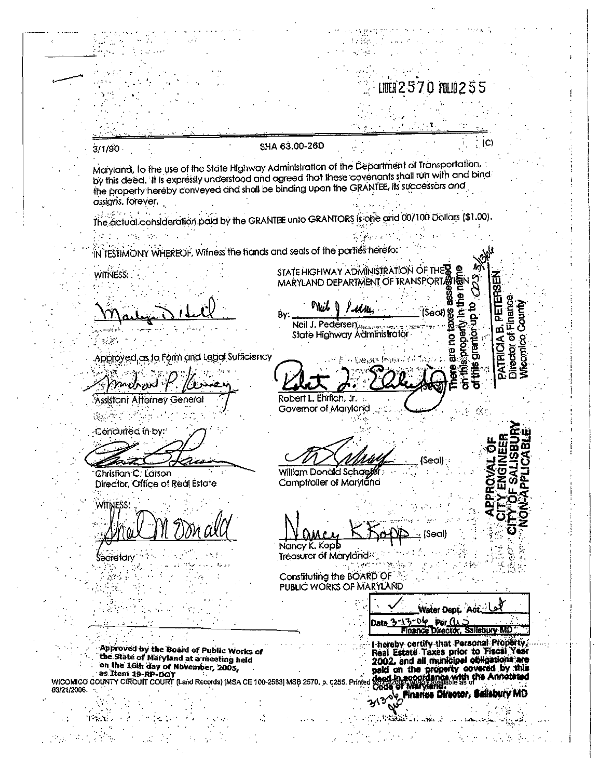570 FOLIO

 $(C)$ 

PETERS

ø

PATRICIA

 $\overline{\mathbf{c}}$ 

his grantorup

Aledords

8 Seall

<u>ខ្ព</u>

iera

ě Έ

ie al

of Finance

Director

Count

#### SHA 63.00-26D

Maryland, to the use of the State Highway Administration of the Department of Transportation, by this deed. It is expressly understood and agreed that these covenants shall run with and bind the property hereby conveyed and shall be binding upon the GRANTEE, its successors and assians, forever.

بأباء والمعتهرين The actual consideration paid by the GRANTEE unto GRANTORS is one and 00/100 Dollars (\$1.00).

₿γ:

Nuit

Robert L. Ehrlich, Jr.

Governor of Maryland

Neil J. Pedersen

IN TESTIMONY WHEREOF, Wilness the hands and seals of the parties herefo:

STATE HIGHWAY ADMINISTRATION OF THE MARYLAND DEPARTMENT OF TRANSPORTA

Approved as to Form and Legal Sufficiency

Assistant Attorney General

Concurred in by:

 $\mathbb{R}$ 

 $3/1/90$ 

WITNESS:

Christian C. Larson Director, Office of Real Estate

WITNESS:

Secretary  $\mathcal{L}_{\mathcal{A}}$ 

M.

State Highway Administrator

William Donald Schaele Comptroller of Maryland

Nancy K. Kopb

Treasurer of Maryland  $\sigma_{\rm{eff}}=1.89\pm0.05$ 

Constituting the BOARD OF PUBLIC WORKS OF MARYLAND

Date 3-13-06 Per (15)<br>Finance Director, Salisbury MD I hereby certify that Personal Property Financy certify-that Personal Property<br>the State of Maryland at a meeting held<br>on the 16th day of November, 2005.<br>and all municipal on the 16th day of November, 2005.<br>wicomico country circuit count (Land Records) [MSA CE 1

Water Dept. Act

iti aka l

 $\sim$   $\sim$   $\sim$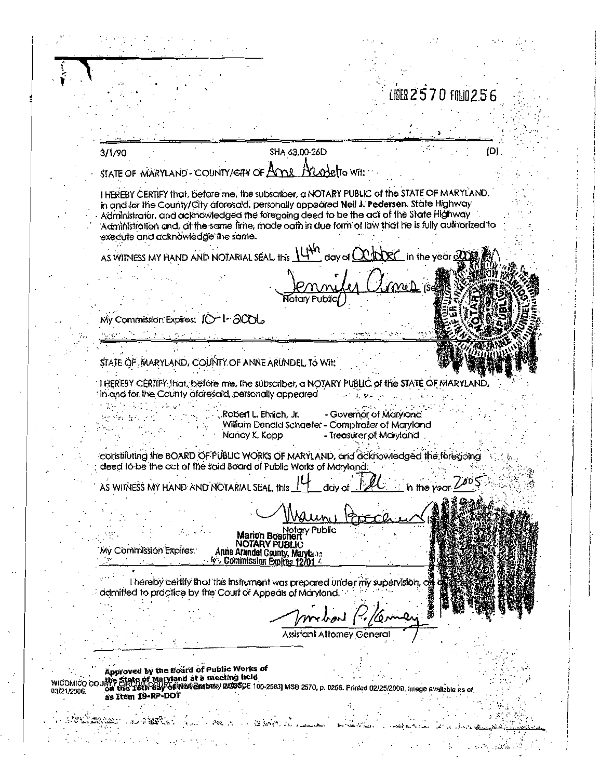LIDER 2570 FOLO 256 SHA 63,00-26D 3/1/90 (D) STATE OF MARYLAND - COUNTY/CHY OF Anne Aundelto Wit: I HEREBY CERTIFY that, before me, the subscriber, a NOTARY PUBLIC of the STATE OF MARYLAND, in and for the County/City aforesaid, personally appeared Neil J. Pedersen, State Highway Administrator, and acknowledged the foregoing deed to be the act of the State Highway Administration and, at the same fime, made oath in due form of law that he is fully authorized to execute and acknowledge the same. in the vear  $\mathfrak A$ AS WITNESS MY HAND AND NOTARIAL SEAL, this Wy Commission Expires: IO-1-2006 τź STATE OF MARYLAND, COUNTY OF ANNE ARUNDEL, To Wit: I HEREBY CERTIFY frict, before me, the subscriber, a NOTARY PUBLIC of the STATE OF MARYLAND. In and for the County aforesaid, personally appeared  $\mathbf{r}$  that  $1 - 12 + 1$ Tallin Card Robert L. Ehrlich, Jr. - Governor of Maryland 우리 장식 William Donald Schoefer - Comptroller of Maryland Nancy K. Kopp - Treasurer of Maryland constituting the BOARD OF PUBLIC WORKS OF MARYLAND, and acknowledged the foregoing deed to be the act of the said Board of Public Works of Maryland. AS WITNESS MY HAND AND NOTARIAL SEAL, this in the vear Public Marion Bosch NOTARY PUBLIC My Commission Expires: Anne Arundel County, Marylano **b** Commission Expires 12 I hereby certify that this instrument was prepared under my supervision, of admitted to practice by the Court of Appeals of Maryland. **Assistant Attorney General** Approved by the Board of Public Works of Approved by the board at a meeting held<br>the State of Maryland at a meeting held<br>on the 16th 03y of R8V Embes) ADDSCE 100-25831 MSB 2570, p. 0256. Printed 02/25/2009. Image available **WICOMICO COL** 03/21/2006. as Item 19-RP-DOT **WELFARE AND BELL**  $\mathcal{L}^{\text{c}}_{\text{c}}\left(\mathcal{L}^{\text{c}}_{\text{c}}\right) \mathcal{L}^{\text{c}}_{\text{c}}\left(\mathcal{L}^{\text{c}}_{\text{c}}\right)$ a and a 小豆腐。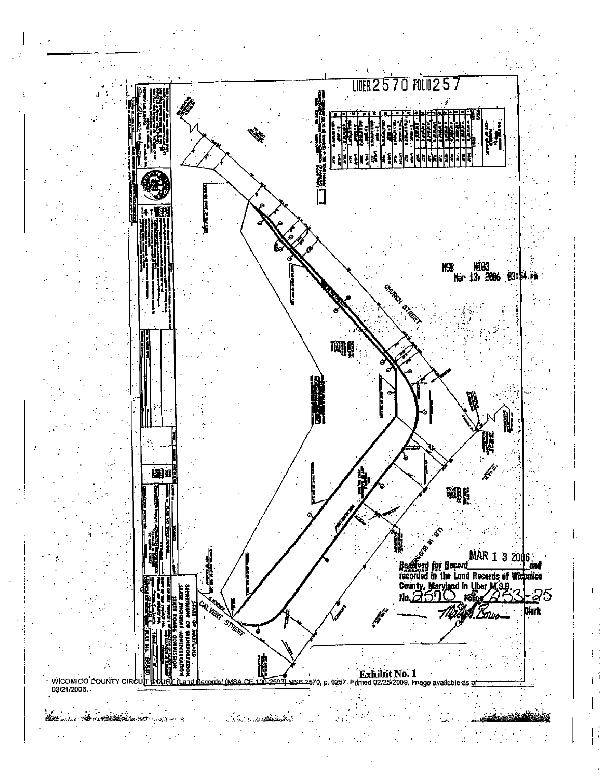